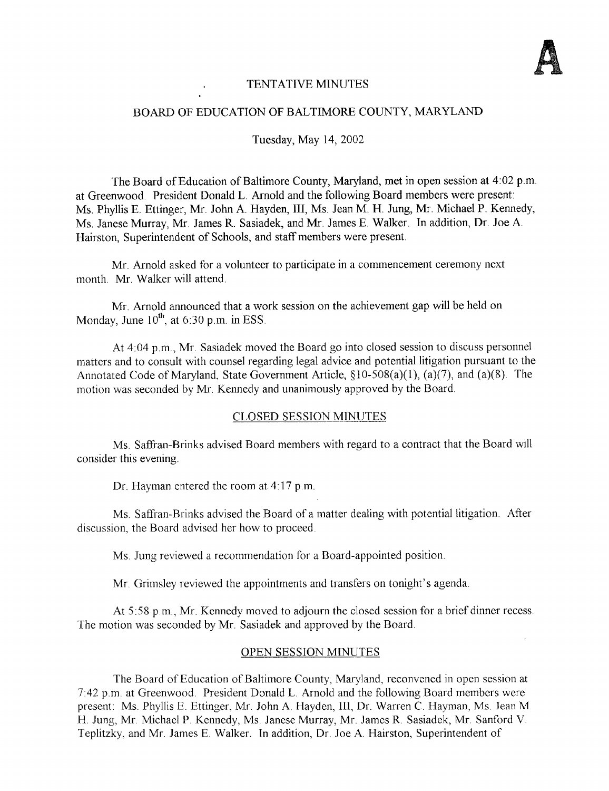

## TENTATIVE MINUTES

### BOARD OF EDUCATION OF BALTIMORE COUNTY, MARYLAND

Tuesday, May 14, 2002

The Board of Education of Baltimore County, Maryland, met in open session at 4:02 p.m. at Greenwood. President Donald L. Arnold and the following Board members were present : Ms. Phyllis E. Ettinger, Mr. John A. Hayden, III, Ms. Jean M. H. Jung, Mr. Michael P. Kennedy, Ms . Janese Murray, Mr. James R. Sasiadek, and Mr. James E. Walker. In addition, Dr Joe A. Hairston, Superintendent of Schools, and staff members were present.

Mr. Arnold asked for a volunteer to participate in a commencement ceremony next month. Mr. Walker will attend.

Mr. Arnold announced that <sup>a</sup> work session on the achievement gap will be held on Monday, June  $10^{\text{th}}$ , at 6:30 p.m. in ESS

At 4:04 p.m., Mr. Sasiadek moved the Board go into closed session to discuss personnel matters and to consult with counsel regarding legal advice and potential litigation pursuant to the Annotated Code of Maryland, State Government Article, §10-508(a)(1), (a)(7), and (a)(8) The motion was seconded by Mr. Kennedy and unanimously approved by the Board.

# CLOSED SESSION MINUTES

Ms. Saffran-Brinks advised Board members with regard to a contract that the Board will consider this evening.

Dr. Hayman entered the room at  $4:17$  p.m.

Ms . Saffran-Brinks advised the Board of a matter dealing with potential litigation . After discussion, the Board advised her how to proceed

Ms Jung reviewed a recommendation for a Board-appointed position.

Mr. Grimsley reviewed the appointments and transfers on tonight's agenda.

At 5:58 p.m., Mr. Kennedy moved to adjourn the closed session for a brief dinner recess. The motion was seconded by Mr. Sasiadek and approved by the Board.

### OPEN SESSION MINUTES

The Board of Education of Baltimore County, Maryland, reconvened in open session at <sup>7</sup> :42 p.m. at Greenwood . President Donald L. Arnold and the following Board members were present: Ms. Phyllis E. Ettinger, Mr. John A. Hayden, III, Dr. Warren C. Hayman, Ms. Jean M. H. Jung, Mr. Michael <sup>P</sup> . Kennedy, Ms . Janese Murray, Mr. James R Sasiadek, Mr. Sanford V. Teplitzky, and Mr. James E. Walker. In addition, Dr. Joe A Hairston, Superintendent of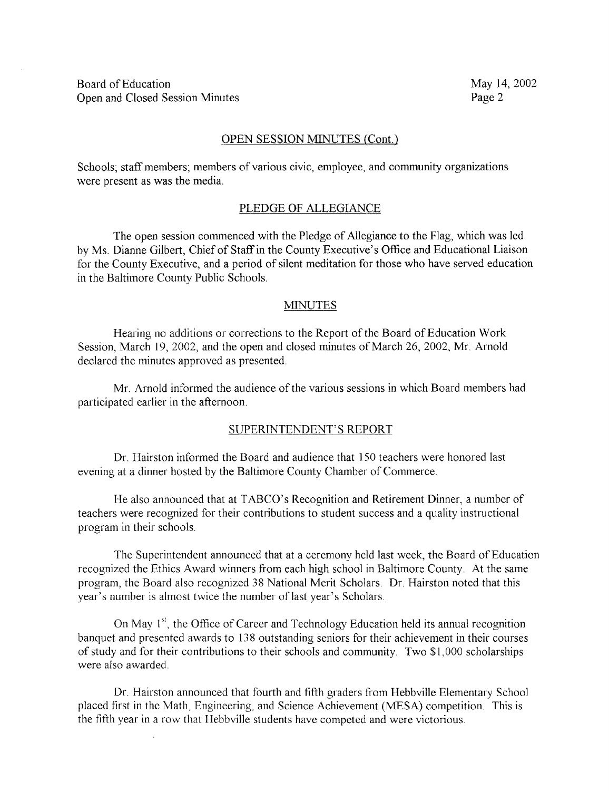### OPEN SESSION MINUTES (Cont.)

Schools; staff members; members of various civic, employee, and community organizations were present as was the media.

### PLEDGE OF ALLEGIANCE

The open session commenced with the Pledge of Allegiance to the Flag, which was led by Ms. Dianne Gilbert, Chief of Staff in the County Executive's Office and Educational Liaison for the County Executive, and a period of silent meditation for those who have served education in the Baltimore County Public Schools.

### **MINUTES**

Hearing no additions or corrections to the Report of the Board of Education Work Session, March 19, 2002, and the open and closed minutes of March 26, 2002, Mr. Arnold declared the minutes approved as presented

Mr. Arnold informed the audience of the various sessions in which Board members had participated earlier in the afternoon.

#### SUPERINTENDENT'S REPORT

Dr. Hairston informed the Board and audience that 150 teachers were honored last evening at <sup>a</sup> dinner hosted by the Baltimore County Chamber of Commerce.

He also announced that at TABCO's Recognition and Retirement Dinner, a number of teachers were recognized for their contributions to student success and a quality instructional program in their schools.

The Superintendent announced that at a ceremony held last week, the Board of Education recognized the Ethics Award winners from each high school in Baltimore County. At the same program, the Board also recognized 38 National Merit Scholars . Dr. Hairston noted that this year's number is almost twice the number of last year's Scholars

On May 1<sup>st</sup>, the Office of Career and Technology Education held its annual recognition banquet and presented awards to 138 outstanding seniors for their achievement in their courses of study and for their contributions to their schools and community. Two \$1,000 scholarships were also awarded

Dr. Hairston announced that fourth and fifth graders from Hebbville Elementary School placed first in the Math, Engineering, and Science Achievement (MESA) competition . This is the fifth year in a row that Hebbville students have competed and were victorious .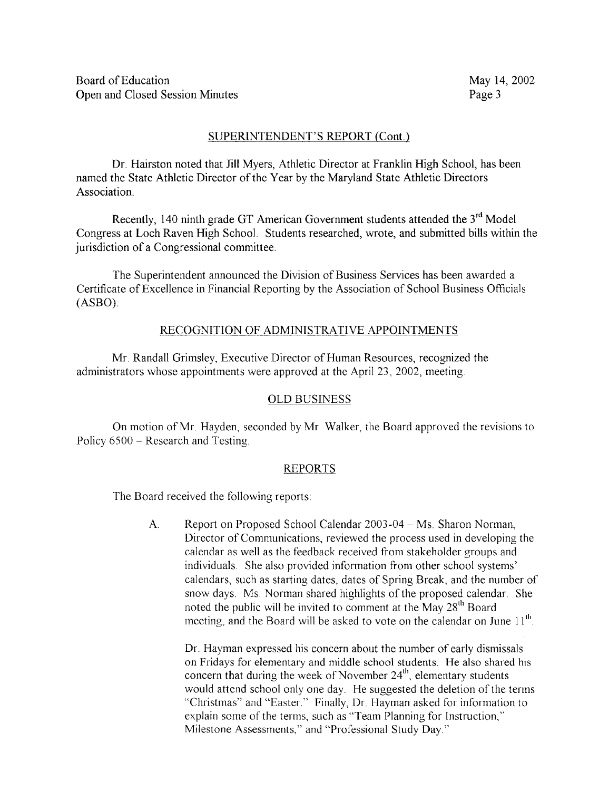## SUPERINTENDENT'S REPORT (Cont.)

Dr. Hairston noted that Jill Myers, Athletic Director at Franklin High School, has been named the State Athletic Director of the Year by the Maryland State Athletic Directors Association.

Recently, 140 ninth grade GT American Government students attended the  $3<sup>rd</sup>$  Model Congress at Loch Raven High School . Students researched, wrote, and submitted bills within the jurisdiction of a Congressional committee.

The Superintendent announced the Division of Business Services has been awarded a Certificate of Excellence in Financial Reporting by the Association of School Business Officials  $(ASBO)$ .

### RECOGNITION OF ADMINISTRATIVE APPOINTMENTS

Mr Randall Grimsley, Executive Director of Human Resources, recognized the administrators whose appointments were approved at the April 23, 2002, meeting.

### OLD BUSINESS

On motion of Mr. Hayden, seconded by Mr Walker, the Board approved the revisions to Policy 6500 - Research and Testing.

### REPORTS

The Board received the following reports:

 $A_{\cdot}$ Report on Proposed School Calendar 2003-04 - Ms. Sharon Norman, Director of Communications, reviewed the process used in developing the calendar as well as the feedback received from stakeholder groups and individuals. She also provided information from other school systems' calendars, such as starting dates, dates of Spring Break, and the number of snow days. Ms. Norman shared highlights of the proposed calendar. She noted the public will be invited to comment at the May  $28<sup>th</sup>$  Board meeting, and the Board will be asked to vote on the calendar on June  $11<sup>th</sup>$ .

Dr. Hayman expressed his concern about the number of early dismissals on Fridays for elementary and middle school students . He also shared his concern that during the week of November  $24<sup>th</sup>$ , elementary students would attend school only one day. He suggested the deletion of the terms "Christmas" and "Easter." Finally, Dr. Hayman asked for information to explain some of the terms, such as "Team Planning for Instruction," Milestone Assessments," and "Professional Study Day."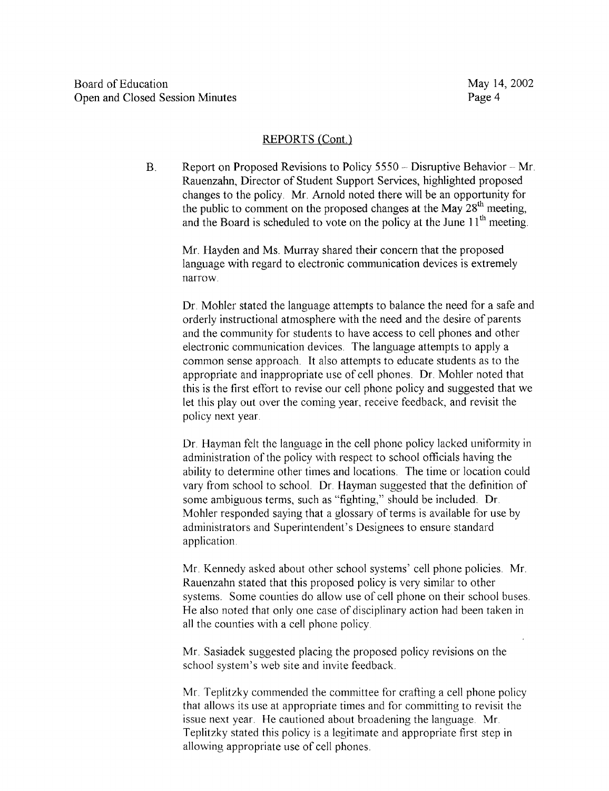## REPORTS (Cont.)

 $B<sub>1</sub>$ Report on Proposed Revisions to Policy 5550 - Disruptive Behavior - Mr Rauenzahn, Director of Student Support Services, highlighted proposed changes to the policy . Mr. Arnold noted there will be an opportunity for the public to comment on the proposed changes at the May  $28<sup>th</sup>$  meeting, and the Board is scheduled to vote on the policy at the June  $11<sup>th</sup>$  meeting.

Mr. Hayden and Ms. Murray shared their concern that the proposed language with regard to electronic communication devices is extremely narrow.

Dr. Mohler stated the language attempts to balance the need for a safe and orderly instructional atmosphere with the need and the desire of parents and the community for students to have access to cell phones and other electronic communication devices. The language attempts to apply a common sense approach. It also attempts to educate students as to the appropriate and inappropriate use of cell phones. Dr. Mohler noted that this is the first effort to revise our cell phone policy and suggested that we let this play out over the coming year, receive feedback, and revisit the policy next year.

Dr. Hayman felt the language in the cell phone policy lacked uniformity in administration of the policy with respect to school officials having the ability to determine other times and locations. The time or location could vary from school to school . Dr. Hayman suggested that the definition of some ambiguous terms, such as "fighting," should be included. Dr. Mohler responded saying that a glossary of terms is available for use by administrators and Superintendent's Designees to ensure standard application .

Mr. Kennedy asked about other school systems' cell phone policies . Mr. Rauenzahn stated that this proposed policy is very similar to other systems. Some counties do allow use of cell phone on their school buses. He also noted that only one case of disciplinary action had been taken in all the counties with a cell phone policy

Mr. Sasiadek suggested placing the proposed policy revisions on the school system's web site and invite feedback.

Mr. Teplitzky commended the committee for crafting <sup>a</sup> cell phone policy that allows its use at appropriate times and for committing to revisit the issue next year. He cautioned about broadening the language. Mr. Teplitzky stated this policy is a legitimate and appropriate first step in allowing appropriate use of cell phones.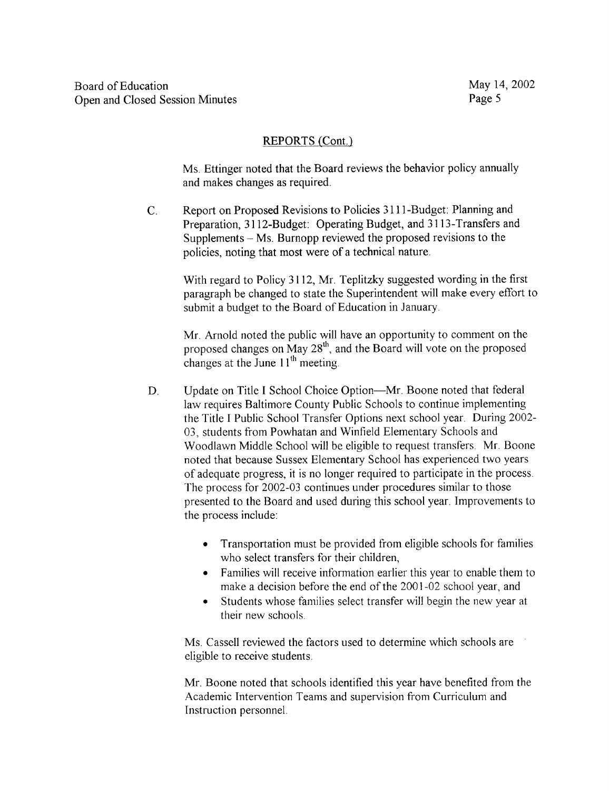# REPORTS (Cont.)

Ms. Ettinger noted that the Board reviews the behavior policy annually and makes changes as required .

C. Report on Proposed Revisions to Policies 3111-Budget Planning and Preparation, 3112-Budget: Operating Budget, and 3113-Transfers and Supplements - Ms. Burnopp reviewed the proposed revisions to the policies, noting that most were of a technical nature .

With regard to Policy 3112, Mr Teplitzky suggested wording in the first paragraph be changed to state the Superintendent will make every effort to submit a budget to the Board of Education in January.

Mr. Arnold noted the public will have an opportunity to comment on the proposed changes on May  $28<sup>th</sup>$ , and the Board will vote on the proposed changes at the June  $11<sup>th</sup>$  meeting.

- D. Update on Title I School Choice Option-Mr. Boone noted that federal law requires Baltimore County Public Schools to continue implementing the Title <sup>I</sup> Public School Transfer Options next school year. During 2002 03, students from Powhatan and Winfield Elementary Schools and Woodlawn Middle School will be eligible to request transfers. Mr. Boone noted that because Sussex Elementary School has experienced two years of adequate progress, it is no longer required to participate in the process. The process for 2002-03 continues under procedures similar to those presented to the Board and used during this school year. Improvements to the process include:
	- Transportation must be provided from eligible schools for families who select transfers for their children,
	- Families will receive information earlier this year to enable them to make <sup>a</sup> decision before the end of the 2001-02 school year, and
	- Students whose families select transfer will begin the new year at their new schools.

Ms . Cassell reviewed the factors used to determine which schools are eligible to receive students

Mr. Boone noted that schools identified this year have benefited from the Academic Intervention Teams and supervision from Curriculum and Instruction personnel.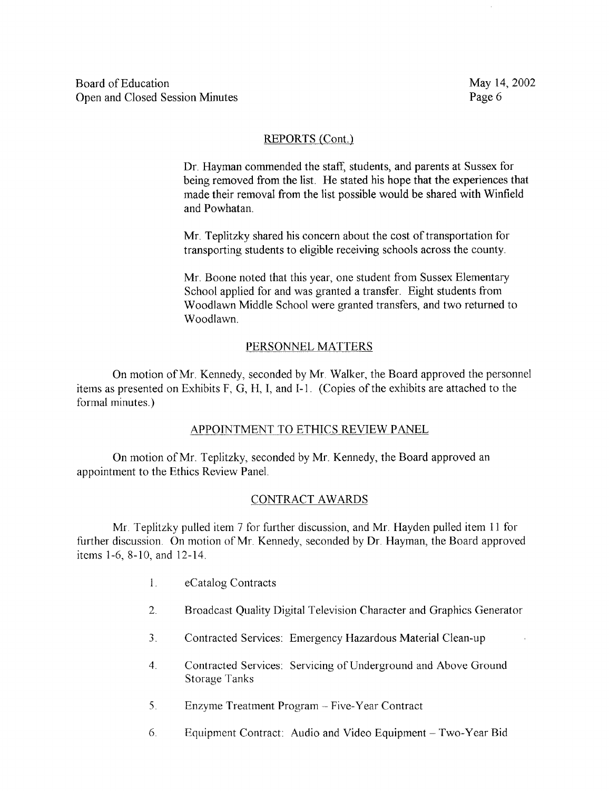# REPORTS (Cont.)

Dr. Hayman commended the staff, students, and parents at Sussex for being removed from the list. He stated his hope that the experiences that made their removal from the list possible would be shared with Winfield and Powhatan.

Mr. Teplitzky shared his concern about the cost of transportation for transporting students to eligible receiving schools across the county.

Mr. Boone noted that this year, one student from Sussex Elementary School applied for and was granted a transfer. Eight students from Woodlawn Middle School were granted transfers, and two returned to Woodlawn.

# PERSONNEL MATTERS

On motion of Mr. Kennedy, seconded by Mr. Walker, the Board approved the personnel items as presented on Exhibits F, G, H, 1, and I-1 . (Copies of the exhibits are attached to the formal minutes.)

# APPOINTMENT TO ETHICS REVIEW PANEL

On motion of Mr. Teplitzky, seconded by Mr. Kennedy, the Board approved an appointment to the Ethics Review Panel

# CONTRACT AWARDS

Mr Teplitzky pulled item <sup>7</sup> for further discussion, and Mr. Hayden pulled item <sup>11</sup> for further discussion. On motion of Mr. Kennedy, seconded by Dr. Hayman, the Board approved items 1-6, 8-10, and 12-14 .

- $\mathbf{1}$ . eCatalog Contracts
- $2.$ Broadcast Quality Digital Television Character and Graphics Generator
- $3<sub>1</sub>$ Contracted Services: Emergency Hazardous Material Clean-up
- Contracted Services: Servicing of Underground and Above Ground  $\overline{4}$ . Storage Tanks
- 5. Enzyme Treatment Program - Five-Year Contract
- 6. Equipment Contract: Audio and Video Equipment - Two-Year Bid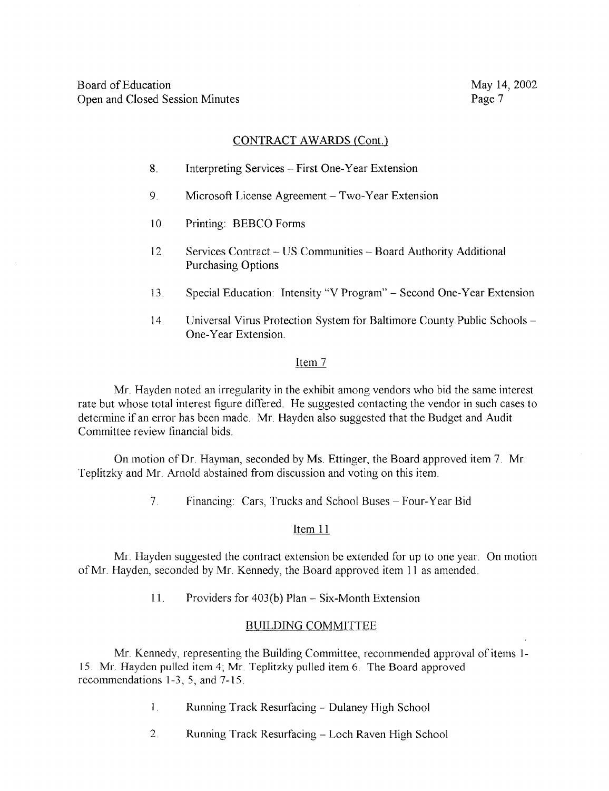# CONTRACT AWARDS (Cont.)

- 8. Interpreting Services -First One-Year Extension
- 9. Microsoft License Agreement - Two-Year Extension
- 10. Printing: BEBCO Forms
- 12. Services Contract US Communities Board Authority Additional Purchasing Options
- <sup>13</sup> . Special Education : Intensity "V Program" Second One-Year Extension
- 14. Universal Virus Protection System for Baltimore County Public Schools -One-Year Extension.

## Item 7

Mr. Hayden noted an irregularity in the exhibit among vendors who bid the same interest rate but whose total interest figure differed. He suggested contacting the vendor in such cases to determine if an error has been made. Mr. Hayden also suggested that the Budget and Audit Committee review financial bids

On motion of Dr. Hayman, seconded by Ms. Ettinger, the Board approved item 7. Mr. Teplitzky and Mr Arnold abstained from discussion and voting on this item.

> $7<sub>1</sub>$ Financing: Cars, Trucks and School Buses - Four-Year Bid

# Item 11

Mr. Hayden suggested the contract extension be extended for up to one year. On motion of Mr. Hayden, seconded by Mr. Kennedy, the Board approved item <sup>11</sup> as amended .

11 . Providers for 403(b) Plan - Six-Month Extension

# BUILDING COMMITTEE

Mr. Kennedy, representing the Building Committee, recommended approval of items <sup>l</sup> - <sup>15</sup> . Mr. Hayden pulled item 4; Mr . Teplitzky pulled item 6. The Board approved recommendations 1-3, 5, and 7-15 .

- $\mathbf{1}$ Running Track Resurfacing - Dulaney High School
- 2. Running Track Resurfacing Loch Raven High School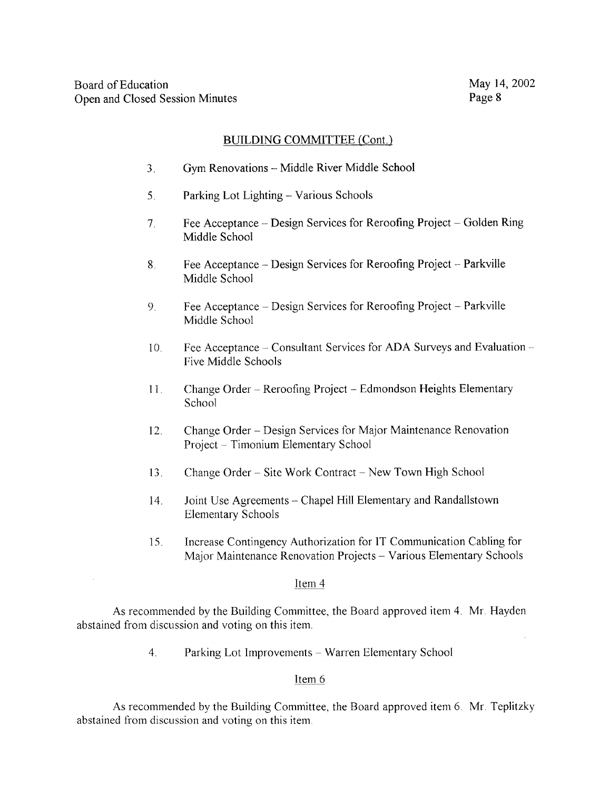# BUILDING COMMITTEE (Cont.)

- 3. Gym Renovations Middle River Middle School
- <sup>5</sup> . Parking Lot Lighting Various Schools
- <sup>7</sup> . Fee Acceptance Design Services for Reroofing Project Golden Ring Middle School
- 8. Fee Acceptance Design Services for Reroofing Project Parkville Middle School
- Fee Acceptance Design Services for Reroofing Project Parkville 9. Middle School
- 10. Fee Acceptance -- Consultant Services for ADA Surveys and Evaluation --Five Middle Schools
- 11. Change Order Reroofing Project Edmondson Heights Elementary School
- 12. Change Order Design Services for Major Maintenance Renovation Project - Timonium Elementary School
- 13. Change Order Site Work Contract New Town High School
- 14. Joint Use Agreements Chapel Hill Elementary and Randallstown Elementary Schools
- 15 . Increase Contingency Authorization for IT Communication Cabling for Major Maintenance Renovation Projects - Various Elementary Schools

### Item 4

As recommended by the Building Committee, the Board approved item 4. Mr. Hayden abstained from discussion and voting on this item

4. Parking Lot Improvements - Warren Elementary School

## Item 6

As recommended by the Building Committee, the Board approved item 6. Mr. Teplitzky abstained from discussion and voting on this item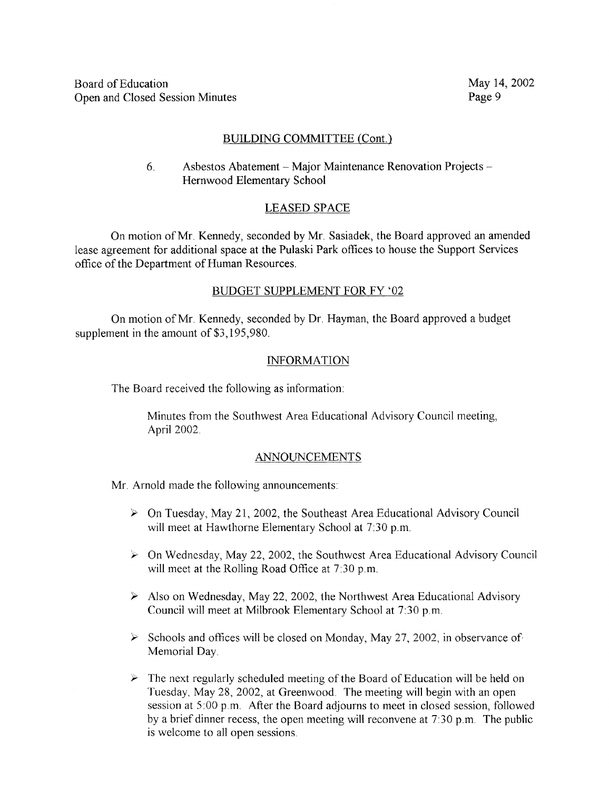## BUILDING COMMITTEE (Cont.)

6. Asbestos Abatement - Major Maintenance Renovation Projects - Hernwood Elementary School

# LEASED SPACE

On motion of Mr. Kennedy, seconded by Mr. Sasiadek, the Board approved an amended lease agreement for additional space at the Pulaski Park offices to house the Support Services office of the Department of Human Resources.

## BUDGET SUPPLEMENT FOR FY `02

On motion of Mr. Kennedy, seconded by Dr. Hayman, the Board approved a budget supplement in the amount of \$3,195,980.

### INFORMATION

The Board received the following as information :

Minutes from the Southwest Area Educational Advisory Council meeting, April 2002.

### ANNOUNCEMENTS

Mr. Arnold made the following announcements:

- $\triangleright$  On Tuesday, May 21, 2002, the Southeast Area Educational Advisory Council will meet at Hawthorne Elementary School at 7:30 p.m.
- $\triangleright$  On Wednesday, May 22, 2002, the Southwest Area Educational Advisory Council will meet at the Rolling Road Office at 7:30 p.m.
- $\triangleright$  Also on Wednesday, May 22, 2002, the Northwest Area Educational Advisory Council will meet at Milbrook Elementary School at 7:30 p.m.
- $\triangleright$  Schools and offices will be closed on Monday, May 27, 2002, in observance of Memorial Day.
- $\triangleright$  The next regularly scheduled meeting of the Board of Education will be held on Tuesday, May 28, 2002, at Greenwood. The meeting will begin with an open session at 5:00 p.m. After the Board adjourns to meet in closed session, followed by a brief dinner recess, the open meeting will reconvene at 7 :30 p.m. The public is welcome to all open sessions.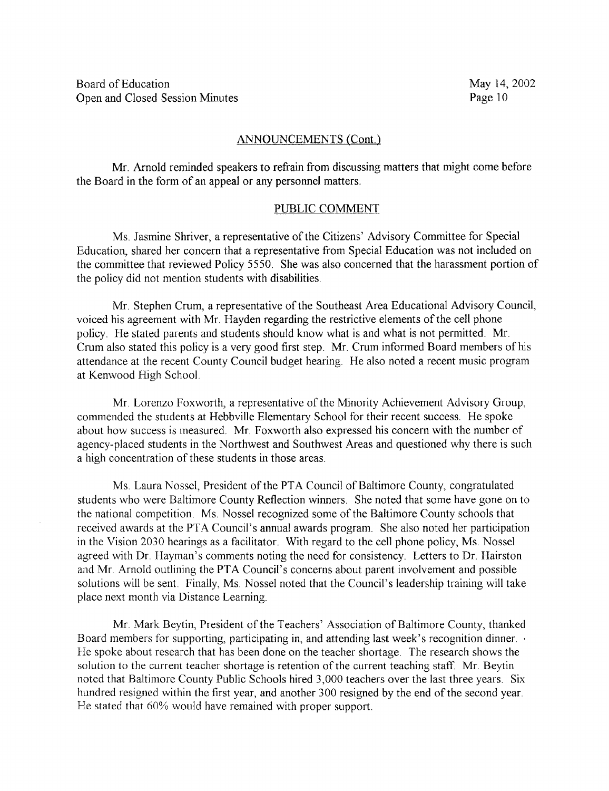#### ANNOUNCEMENTS (Cont.)

Mr. Arnold reminded speakers to refrain from discussing matters that might come before the Board in the form of an appeal or any personnel matters.

### PUBLIC COMMENT

Ms. Jasmine Shriver, a representative of the Citizens' Advisory Committee for Special Education, shared her concern that a representative from Special Education was not included on the committee that reviewed Policy 5550 . She was also concerned that the harassment portion of the policy did not mention students with disabilities .

Mr. Stephen Crum, a representative of the Southeast Area Educational Advisory Council, voiced his agreement with Mr. Hayden regarding the restrictive elements of the cell phone policy . He stated parents and students should know what is and what is not permitted. Mr. Crum also stated this policy is a very good first step. Mr. Crum informed Board members of his attendance at the recent County Council budget hearing. He also noted a recent music program at Kenwood High School

Mr. Lorenzo Foxworth, <sup>a</sup> representative of the Minority Achievement Advisory Group, commended the students at Hebbville Elementary School for their recent success. He spoke about how success is measured. Mr. Foxworth also expressed his concern with the number of agency-placed students in the Northwest and Southwest Areas and questioned why there is such a high concentration of these students in those areas.

Ms Laura Nossel, President of the PTA Council of Baltimore County, congratulated students who were Baltimore County Reflection winners. She noted that some have gone on to the national competition. Ms. Nossel recognized some of the Baltimore County schools that received awards at the PTA Council's annual awards program. She also noted her participation in the Vision 2030 hearings as a facilitator. With regard to the cell phone policy, Ms. Nossel agreed with Dr. Hayman's comments noting the need for consistency. Letters to Dr. Hairston and Mr . Arnold outlining the PTA Council's concerns about parent involvement and possible solutions will be sent. Finally, Ms. Nossel noted that the Council's leadership training will take place next month via Distance Learning.

Mr. Mark Beytin, President of the Teachers' Association of Baltimore County, thanked Board members for supporting, participating in, and attending last week's recognition dinner He spoke about research that has been done on the teacher shortage. The research shows the solution to the current teacher shortage is retention of the current teaching staff. Mr. Beytin noted that Baltimore County Public Schools hired 3,000 teachers over the last three years . Six hundred resigned within the first year, and another 300 resigned by the end of the second year. He stated that 60% would have remained with proper support.